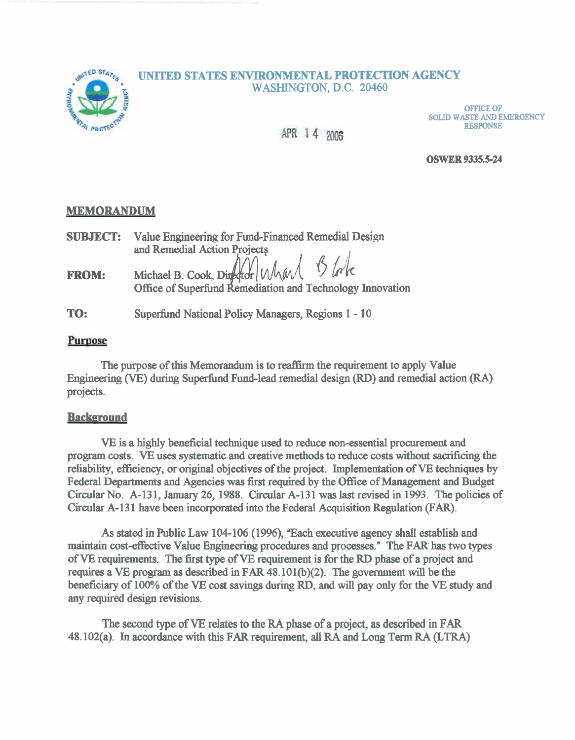### **UNITED STATES ENVIRONMENTAL PROTECTION AGENCY** WASHINGTON, D.C. 20460



**OFFICE OF SOLID WASTE AND EMERGENCY RESPONSE** 

APR 14 2006

**OSWER 9335.5-24** 

### **MEMORANDUM**

| <b>SUBJECT:</b> | Value Engineering for Fund-Financed Remedial Design                                                |  |
|-----------------|----------------------------------------------------------------------------------------------------|--|
|                 | and Remedial Action Projects                                                                       |  |
| <b>FROM:</b>    | Michael B. Cook, Director Whard Block<br>Office of Superfund Remediation and Technology Innovation |  |

**TO:**  Superfund National Policy Managers, Regions 1 - 10

# Purpose

The purpose of this Memorandum is to reaffirm the requirement to apply Value Engineering (VE) during Superfund Fund-lead remedial design (RD) and remedial action (RA) projects.

# **Background**

VE is a highly beneficial technique used to reduce non-essential procurement and program costs. VE uses systematic and creative methods to reduce costs without sacrificing the reliability, efficiency, or original objectives of the project. Implementation of **VE** techniques by Federal Departments and Agencies was **first** required by the Ofice of Management and Budget Circular No. A-131, January 26, 1988. Circular A-131 was last revised in 1993. The policies of Circular A-13 1 have been incorporated into the Federal Acquisition Regulation (FAR).

As stated in Public Law 104-106 (1996), "Each executive agency shall establish and maintain cost-effective Value Engineering procedures and processes." The FAR has two types of **VE** requirements. The first type of **VE** requirement is for the RD phase of a project and requires a VE program as described in FAR 48.10 1(b)(2). The government will be the beneficiary of 100% of the VE cost savings during RD, and will pay only for the VE study and any required design revisions.

The second type of VE relates to the **RA** phase of a project, as described in FAR 48.102(a). In accordance with this FAR requirement, all RA and Long Term RA (LTRA)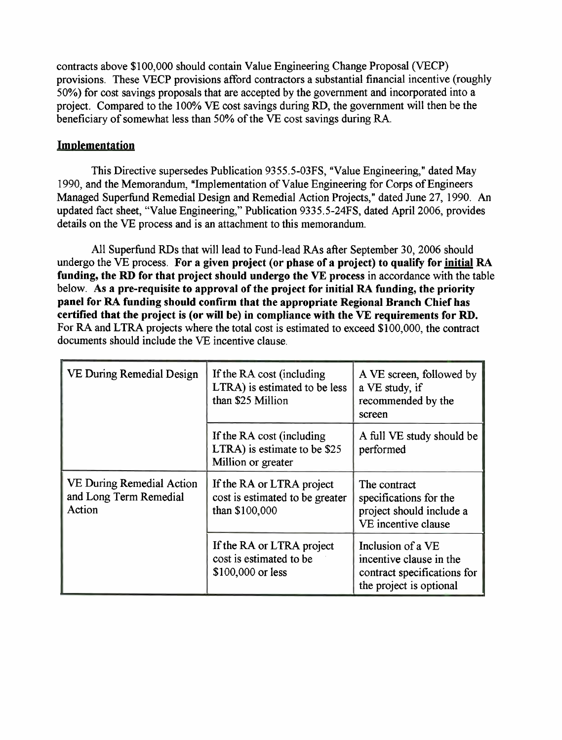contracts above \$100,000 should contain Value Engineering Change Proposal (VECP) provisions. These VECP provisions afford contractors a substantial financial incentive (roughly 50%) for cost savings proposals that are accepted by the government and incorporated into a project. Compared to the 100% VE cost savings during RD, the government will then be the beneficiary of somewhat less than 50% of the VE cost savings during RA.

# **Implementation**

This Directive supersedes Publication 9355.5-03FS, "Value Engineering," dated May 1990, and the Memorandum, "Implementation of Value Engineering for Corps of Engineers Managed Superfund Remedial Design and Remedial Action Projects," dated June 27, 1990. **An**  updated fact sheet, "Value Engineering," Publication 9335.5-24FS, dated April 2006, provides details on the VE process and is an attachment to this memorandum.

All Superfund RDs that will lead to Fund-lead RAs after September 30, 2006 should undergo the VE process. **For a given project (or phase of a project) to qualify for initial RA funding, the RD for that project should undergo the VE process** in accordance with the table below. As a pre-requisite to approval of the project for initial RA funding, the priority **panel for RA funding should confirm that the appropriate Regional Branch Chief has certified that the project is (or will be) in compliance with the VE requirements for RD.**  For RA and LTRA projects where the total cost is estimated to exceed \$100,000, the contract documents should include the VE incentive clause.

| VE During Remedial Design                                     | If the RA cost (including<br>LTRA) is estimated to be less<br>than \$25 Million | A VE screen, followed by<br>a VE study, if<br>recommended by the<br>screen                             |
|---------------------------------------------------------------|---------------------------------------------------------------------------------|--------------------------------------------------------------------------------------------------------|
|                                                               | If the RA cost (including<br>LTRA) is estimate to be \$25<br>Million or greater | A full VE study should be<br>performed                                                                 |
| VE During Remedial Action<br>and Long Term Remedial<br>Action | If the RA or LTRA project<br>cost is estimated to be greater<br>than \$100,000  | The contract<br>specifications for the<br>project should include a<br>VE incentive clause              |
|                                                               | If the RA or LTRA project<br>cost is estimated to be<br>\$100,000 or less       | Inclusion of a VE<br>incentive clause in the<br>contract specifications for<br>the project is optional |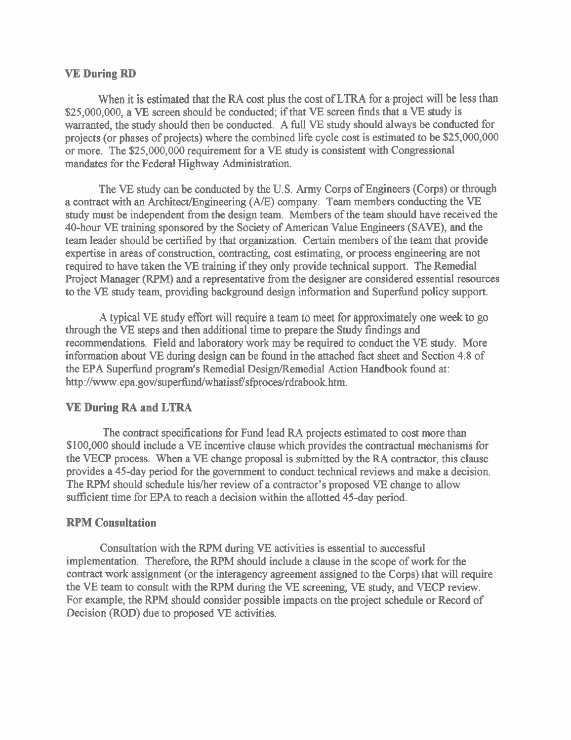#### **VE During RD**

When it is estimated that the **RA** cost plus the cost of LTRA for a project will be less than \$25,000,000, a **VE** screen should be conducted; if that **VE** screen finds that a VE study is warranted, the study should then be conducted. A full VE study should always be conducted for projects (or phases of projects) where the combined life cycle cost is estimated to be \$25,000,000 or more. The \$25,000,000 requirement for a **VE** study is consistent with Congressional mandates for the Federal Highway Administration.

The VE study can be conducted by the U.S. Army Corps of Engineers (Corps) or through a contract with an Architect/Engineering (A/E) company. Team members conducting the VE study must be independent from the design team. Members of the team should have received the 40-hour **VE** training sponsored by the Society of American Value Engineers (SAVE), and the team leader should be certified by that organization. Certain members of the team that provide expertise in areas of construction, contracting, cost estimating, or process engineering are not required to have taken the VE training if they only provide technical support. The Remedial Project Manager (RPM) and a representative from the designer are considered essential resources to the VE study team, providing background design information and Superfund policy support.

A typical VE study effort will require a team to meet for approximately one week to go through the VE steps and then additional time to prepare the Study findings and recommendations. Field and laboratory work may be required to conduct the VE study. More information about **VE** during design can be found in the attached fact sheet and Section 4.8 of the EPA Superfund program's Remedial Design/Remedial Action Handbook found at: http://www.epa.gov/superfund/whatissf/sfproces/rdrabook.htm.

### **VE During RA and LTRA**

The contract specifications for Fund lead **RA** projects estimated to cost more than \$100,000 should include a VE incentive clause which provides the contractual mechanisms for the VECP process. When a VE change proposal is submitted by the **RA** contractor, this clause provides a 45-day period for the government to conduct technical reviews and make a decision. The RPM should schedule his/her review of a contractor's proposed VE change to allow sufficient time for EPA to reach a decision within the allotted 45-day period.

#### **RPM Consultation**

Consultation with the RPM during **VE** activities is essential to successful implementation. Therefore, the RPM should include a clause in the scope of work for the contract work assignment (or the interagency agreement assigned to the Corps) that will require the VE team to consult with the RPM during the **VE** screening, VE study, and VECP review. For example, the RPM should consider possible impacts on the project schedule or Record of Decision (ROD) due to proposed **VE** activities.